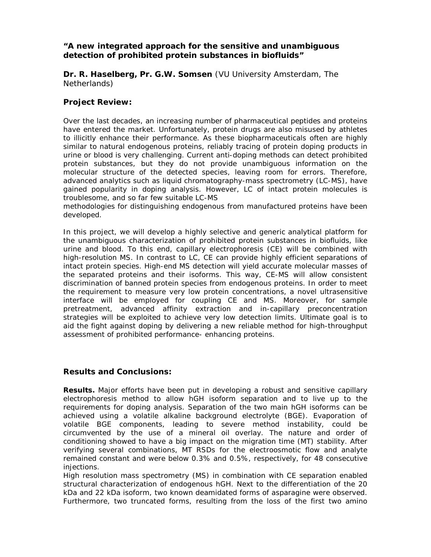## *"***A new integrated approach for the sensitive and unambiguous detection of prohibited protein substances in biofluids***"*

**Dr. R. Haselberg, Pr. G.W. Somsen** (VU University Amsterdam, The Netherlands)

## **Project Review:**

Over the last decades, an increasing number of pharmaceutical peptides and proteins have entered the market. Unfortunately, protein drugs are also misused by athletes to illicitly enhance their performance. As these biopharmaceuticals often are highly similar to natural endogenous proteins, reliably tracing of protein doping products in urine or blood is very challenging. Current anti-doping methods can detect prohibited protein substances, but they do not provide unambiguous information on the molecular structure of the detected species, leaving room for errors. Therefore, advanced analytics such as liquid chromatography-mass spectrometry (LC-MS), have gained popularity in doping analysis. However, LC of intact protein molecules is troublesome, and so far few suitable LC-MS

methodologies for distinguishing endogenous from manufactured proteins have been developed.

In this project, we will develop a highly selective and generic analytical platform for the unambiguous characterization of prohibited protein substances in biofluids, like urine and blood. To this end, capillary electrophoresis (CE) will be combined with high-resolution MS. In contrast to LC, CE can provide highly efficient separations of intact protein species. High-end MS detection will yield accurate molecular masses of the separated proteins and their isoforms. This way, CE-MS will allow consistent discrimination of banned protein species from endogenous proteins. In order to meet the requirement to measure very low protein concentrations, a novel ultrasensitive interface will be employed for coupling CE and MS. Moreover, for sample pretreatment, advanced affinity extraction and in-capillary preconcentration strategies will be exploited to achieve very low detection limits. Ultimate goal is to aid the fight against doping by delivering a new reliable method for high-throughput assessment of prohibited performance- enhancing proteins.

## **Results and Conclusions:**

**Results.** Major efforts have been put in developing a robust and sensitive capillary electrophoresis method to allow hGH isoform separation and to live up to the requirements for doping analysis. Separation of the two main hGH isoforms can be achieved using a volatile alkaline background electrolyte (BGE). Evaporation of volatile BGE components, leading to severe method instability, could be circumvented by the use of a mineral oil overlay. The nature and order of conditioning showed to have a big impact on the migration time (MT) stability. After verifying several combinations, MT RSDs for the electroosmotic flow and analyte remained constant and were below 0.3% and 0.5%, respectively, for 48 consecutive injections.

High resolution mass spectrometry (MS) in combination with CE separation enabled structural characterization of endogenous hGH. Next to the differentiation of the 20 kDa and 22 kDa isoform, two known deamidated forms of asparagine were observed. Furthermore, two truncated forms, resulting from the loss of the first two amino